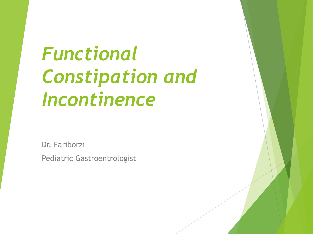## *Functional Constipation and Incontinence*

Dr. Fariborzi Pediatric Gastroentrologist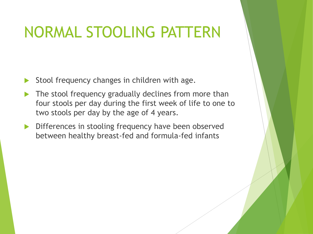#### NORMAL STOOLING PATTERN

- Stool frequency changes in children with age.
- The stool frequency gradually declines from more than four stools per day during the first week of life to one to two stools per day by the age of 4 years.
- Differences in stooling frequency have been observed between healthy breast-fed and formula-fed infants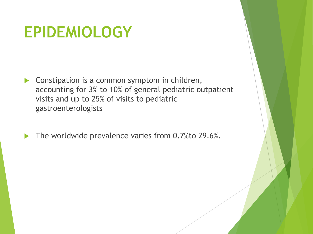#### **EPIDEMIOLOGY**

**Constipation is a common symptom in children,** accounting for 3% to 10% of general pediatric outpatient visits and up to 25% of visits to pediatric gastroenterologists

The worldwide prevalence varies from 0.7% to 29.6%.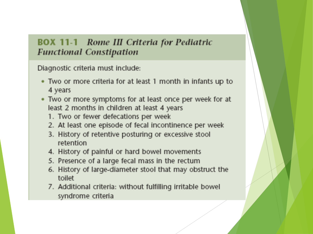#### **BOX 11-1** Rome III Criteria for Pediatric **Functional Constipation**

Diagnostic criteria must include:

- Two or more criteria for at least 1 month in infants up to 4 years
- Two or more symptoms for at least once per week for at least 2 months in children at least 4 years
	- 1. Two or fewer defecations per week
	- 2. At least one episode of fecal incontinence per week
	- 3. History of retentive posturing or excessive stool retention
	- 4. History of painful or hard bowel movements
	- 5. Presence of a large fecal mass in the rectum
	- 6. History of large-diameter stool that may obstruct the toilet
	- 7. Additional criteria: without fulfilling irritable bowel syndrome criteria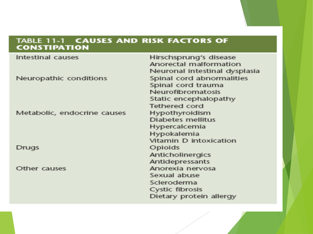#### TABLE 11-1 CAUSES AND RISK FACTORS OF

| Intestinal causes           | Hirschsprung's disease        |
|-----------------------------|-------------------------------|
|                             | Anorectal malformation        |
|                             | Neuronal intestinal dysplasia |
| Neuropathic conditions      | Spinal cord abnormalities     |
|                             | Spinal cord trauma            |
|                             | Neurofibromatosis             |
|                             | Static encephalopathy         |
|                             | <b>Tethered cord</b>          |
| Metabolic, endocrine causes | Hypothyroidism                |
|                             | Diabetes mellitus             |
|                             | Hypercalcemia                 |
|                             | Hypokalemia                   |
|                             | Vitamin D intoxication        |
| Drugs                       | Opioids                       |
|                             | Anticholinergics              |
|                             | Anticlepressants              |
| Other causes                | Anorexia nervosa              |
|                             | Sexual abuse                  |
|                             | Scleroderma                   |
|                             | Cystic fibrosis               |
|                             | Dietary protein allergy       |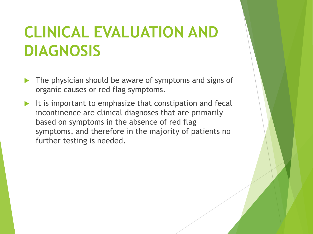#### **CLINICAL EVALUATION AND DIAGNOSIS**

- The physician should be aware of symptoms and signs of organic causes or red flag symptoms.
- It is important to emphasize that constipation and fecal incontinence are clinical diagnoses that are primarily based on symptoms in the absence of red flag symptoms, and therefore in the majority of patients no further testing is needed.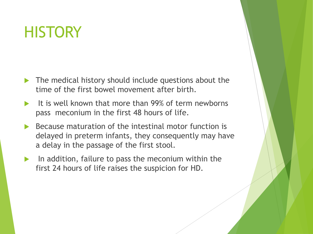#### **HISTORY**

- The medical history should include questions about the time of the first bowel movement after birth.
- It is well known that more than 99% of term newborns pass meconium in the first 48 hours of life.
- Because maturation of the intestinal motor function is delayed in preterm infants, they consequently may have a delay in the passage of the first stool.
- In addition, failure to pass the meconium within the first 24 hours of life raises the suspicion for HD.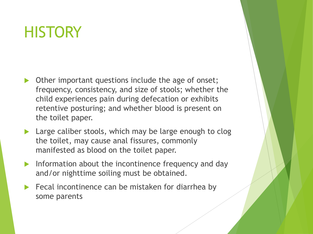#### **HISTORY**

- Other important questions include the age of onset; frequency, consistency, and size of stools; whether the child experiences pain during defecation or exhibits retentive posturing; and whether blood is present on the toilet paper.
- Large caliber stools, which may be large enough to clog the toilet, may cause anal fissures, commonly manifested as blood on the toilet paper.
- Information about the incontinence frequency and day and/or nighttime soiling must be obtained.
- Fecal incontinence can be mistaken for diarrhea by some parents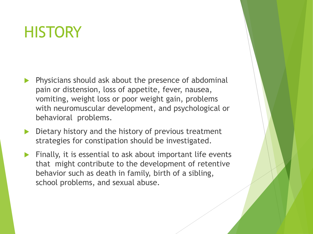#### **HISTORY**

- Physicians should ask about the presence of abdominal pain or distension, loss of appetite, fever, nausea, vomiting, weight loss or poor weight gain, problems with neuromuscular development, and psychological or behavioral problems.
- Dietary history and the history of previous treatment strategies for constipation should be investigated.
- Finally, it is essential to ask about important life events that might contribute to the development of retentive behavior such as death in family, birth of a sibling, school problems, and sexual abuse.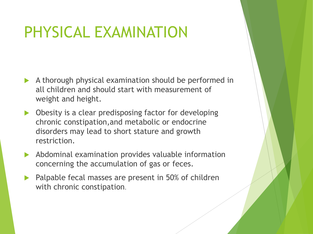#### PHYSICAL EXAMINATION

- A thorough physical examination should be performed in all children and should start with measurement of weight and height.
- ▶ Obesity is a clear predisposing factor for developing chronic constipation,and metabolic or endocrine disorders may lead to short stature and growth restriction.
- Abdominal examination provides valuable information concerning the accumulation of gas or feces.
- **Palpable fecal masses are present in 50% of children** with chronic constipation.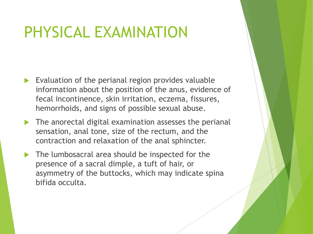#### PHYSICAL EXAMINATION

- $\blacktriangleright$  Evaluation of the perianal region provides valuable information about the position of the anus, evidence of fecal incontinence, skin irritation, eczema, fissures, hemorrhoids, and signs of possible sexual abuse.
- The anorectal digital examination assesses the perianal sensation, anal tone, size of the rectum, and the contraction and relaxation of the anal sphincter.
- The lumbosacral area should be inspected for the presence of a sacral dimple, a tuft of hair, or asymmetry of the buttocks, which may indicate spina bifida occulta.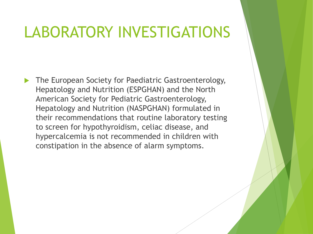#### LABORATORY INVESTIGATIONS

 The European Society for Paediatric Gastroenterology, Hepatology and Nutrition (ESPGHAN) and the North American Society for Pediatric Gastroenterology, Hepatology and Nutrition (NASPGHAN) formulated in their recommendations that routine laboratory testing to screen for hypothyroidism, celiac disease, and hypercalcemia is not recommended in children with constipation in the absence of alarm symptoms.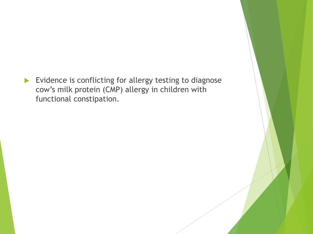Evidence is conflicting for allergy testing to diagnose cow's milk protein (CMP) allergy in children with functional constipation.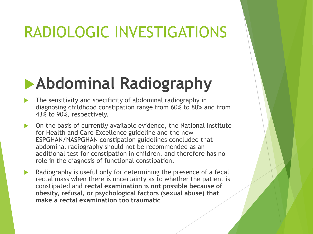#### RADIOLOGIC INVESTIGATIONS

### **Abdominal Radiography**

- The sensitivity and specificity of abdominal radiography in diagnosing childhood constipation range from 60% to 80% and from 43% to 90%, respectively.
- $\triangleright$  On the basis of currently available evidence, the National Institute for Health and Care Excellence guideline and the new ESPGHAN/NASPGHAN constipation guidelines concluded that abdominal radiography should not be recommended as an additional test for constipation in children, and therefore has no role in the diagnosis of functional constipation.
- $\blacktriangleright$  Radiography is useful only for determining the presence of a fecal rectal mass when there is uncertainty as to whether the patient is constipated and **rectal examination is not possible because of obesity, refusal, or psychological factors (sexual abuse) that make a rectal examination too traumatic**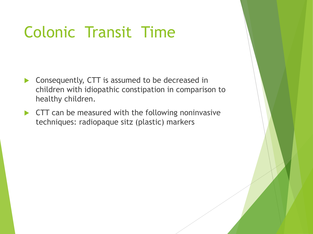#### Colonic Transit Time

- ▶ Consequently, CTT is assumed to be decreased in children with idiopathic constipation in comparison to healthy children.
- **CTT** can be measured with the following noninvasive techniques: radiopaque sitz (plastic) markers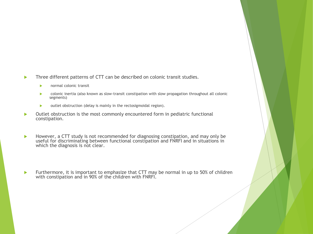- Three different patterns of CTT can be described on colonic transit studies.
	- **EXECUTE:** normal colonic transit
	- colonic inertia (also known as slow-transit constipation with slow propagation throughout all colonic segments)
	- $\triangleright$  outlet obstruction (delay is mainly in the rectosigmoidal region).
- Outlet obstruction is the most commonly encountered form in pediatric functional constipation.
- However, a CTT study is not recommended for diagnosing constipation, and may only be useful for discriminating between functional constipation and FNRFI and in situations in which the diagnosis is not clear.
- Furthermore, it is important to emphasize that CTT may be normal in up to 50% of children with constipation and in 90% of the children with FNRFI.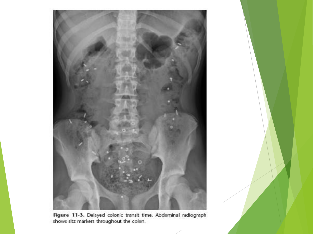

Figure 11-3. Delayed colonic transit time. Abdominal radiograph shows sitz markers throughout the colon.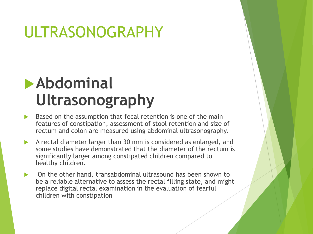#### ULTRASONOGRAPHY

#### **Abdominal Ultrasonography**

- Based on the assumption that fecal retention is one of the main features of constipation, assessment of stool retention and size of rectum and colon are measured using abdominal ultrasonography.
- A rectal diameter larger than 30 mm is considered as enlarged, and some studies have demonstrated that the diameter of the rectum is significantly larger among constipated children compared to healthy children.
- On the other hand, transabdominal ultrasound has been shown to be a reliable alternative to assess the rectal filling state, and might replace digital rectal examination in the evaluation of fearful children with constipation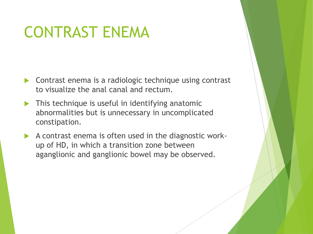#### CONTRAST ENEMA

- Contrast enema is a radiologic technique using contrast to visualize the anal canal and rectum.
- **This technique is useful in identifying anatomic** abnormalities but is unnecessary in uncomplicated constipation.
- A contrast enema is often used in the diagnostic workup of HD, in which a transition zone between aganglionic and ganglionic bowel may be observed.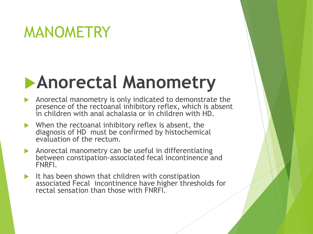#### MANOMETRY

## **Anorectal Manometry**

- Anorectal manometry is only indicated to demonstrate the presence of the rectoanal inhibitory reflex, which is absent in children with anal achalasia or in children with HD.
- When the rectoanal inhibitory reflex is absent, the diagnosis of HD must be confirmed by histochemical evaluation of the rectum.
- Anorectal manometry can be useful in differentiating between constipation-associated fecal incontinence and FNRFI.
- It has been shown that children with constipation associated Fecal incontinence have higher thresholds for rectal sensation than those with FNRFI.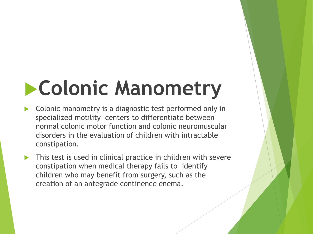# **Colonic Manometry**

- Colonic manometry is a diagnostic test performed only in specialized motility centers to differentiate between normal colonic motor function and colonic neuromuscular disorders in the evaluation of children with intractable constipation.
- **This test is used in clinical practice in children with severe** constipation when medical therapy fails to identify children who may benefit from surgery, such as the creation of an antegrade continence enema.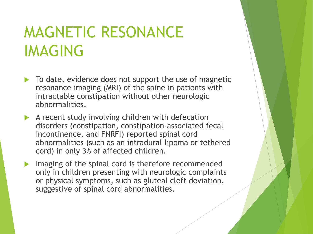#### MAGNETIC RESONANCE IMAGING

- $\triangleright$  To date, evidence does not support the use of magnetic resonance imaging (MRI) of the spine in patients with intractable constipation without other neurologic abnormalities.
- A recent study involving children with defecation disorders (constipation, constipation-associated fecal incontinence, and FNRFI) reported spinal cord abnormalities (such as an intradural lipoma or tethered cord) in only 3% of affected children.
- Imaging of the spinal cord is therefore recommended only in children presenting with neurologic complaints or physical symptoms, such as gluteal cleft deviation, suggestive of spinal cord abnormalities.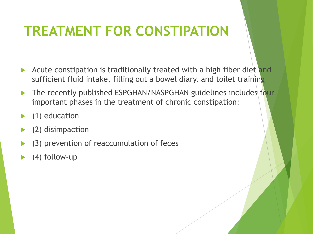#### **TREATMENT FOR CONSTIPATION**

- Acute constipation is traditionally treated with a high fiber diet and sufficient fluid intake, filling out a bowel diary, and toilet training
- The recently published ESPGHAN/NASPGHAN guidelines includes four important phases in the treatment of chronic constipation:
- (1) education
- (2) disimpaction
- (3) prevention of reaccumulation of feces
- (4) follow-up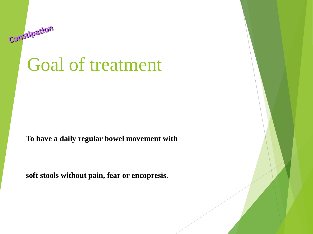### Goal of treatment

Constipation

**To have a daily regular bowel movement with**

**soft stools without pain, fear or encopresis**.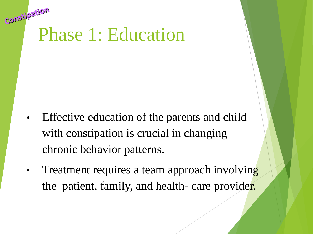# CONSPR<sup>-</sup><br>Phase 1: Education

- Effective education of the parents and child with constipation is crucial in changing chronic behavior patterns.
- Treatment requires a team approach involving the patient, family, and health- care provider.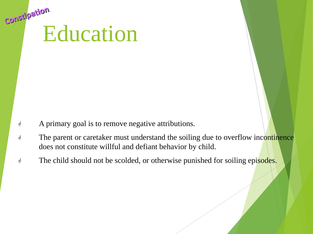# consumer-

- A primary goal is to remove negative attributions.
- **The parent or caretaker must understand the soiling due to overflow incontinence** does not constitute willful and defiant behavior by child.
- $\mathcal{F}$  The child should not be scolded, or otherwise punished for soiling episodes.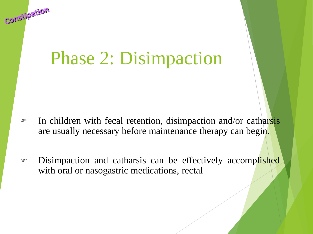## Phase 2: Disimpaction

Constipation

- In children with fecal retention, disimpaction and/or catharsis are usually necessary before maintenance therapy can begin.
- **EXECUTE:** Disimpaction and catharsis can be effectively accomplished with oral or nasogastric medications, rectal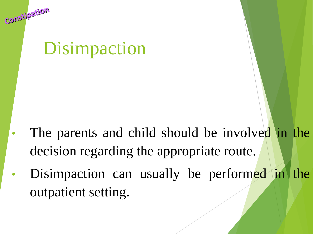### Disimpaction

Constipation

- The parents and child should be involved in the decision regarding the appropriate route.
- Disimpaction can usually be performed in the outpatient setting.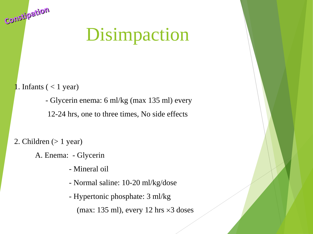## Disimpaction

**1.** Infants  $(< 1$  year)

Constipation

- Glycerin enema: 6 ml/kg (max 135 ml) every

12-24 hrs, one to three times, No side effects

2. Children  $(> 1$  year)

A. Enema: - Glycerin

- Mineral oil

- Normal saline: 10-20 ml/kg/dose

- Hypertonic phosphate: 3 ml/kg

(max: 135 ml), every 12 hrs  $\times$ 3 doses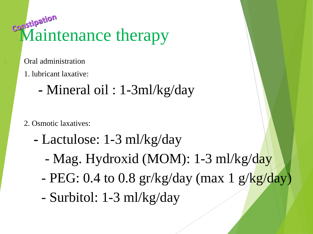# **Consumer**<br>Maintenance therapy

- Oral administration
	- 1. lubricant laxative:
		- **-** Mineral oil : 1-3ml/kg/day
	- 2. Osmotic laxatives:
		- **-** Lactulose: 1-3 ml/kg/day
			- Mag. Hydroxid (MOM): 1-3 ml/kg/day
			- PEG:  $0.4$  to  $0.8$  gr/kg/day (max 1 g/kg/day)
			- Surbitol: 1-3 ml/kg/day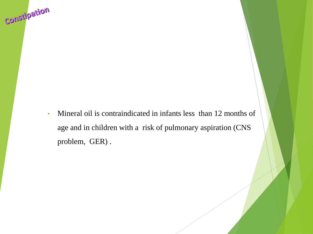• Mineral oil is contraindicated in infants less than 12 months of age and in children with a risk of pulmonary aspiration (CNS problem, GER) .

noifsqlichoo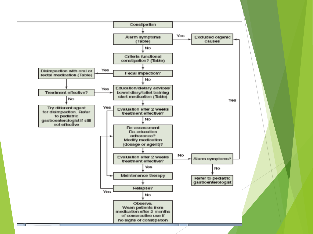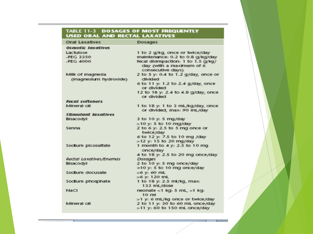#### TABLE 11-3 DO SAGES OF MOST FREQUENTLY<br>USED ORAL AND RECTAL LAXATIVES

| Orral Laxatives            | Dosages                                                                             |
|----------------------------|-------------------------------------------------------------------------------------|
| Osmotic Iaxatives          |                                                                                     |
| <b>Lacturiose</b>          | 1 to 2 g/kg, once or twice/day                                                      |
| <b>JPFG 3350</b>           | maintenance: 0.2 to 0.8 g/kg/day                                                    |
| $JPEG$ $4000$              | fecal disimpaction: 1 to 1.5 g/kg/<br>day (with a maximum of 6<br>consecutive days) |
| Milk of magnesia           | 2 to 5 y: 0.4 to 1.2 g/day, once or                                                 |
| (magnesium hydroxide)      | divided.                                                                            |
|                            | 6 to 11 y: 1.2 to 2.4 g/day, once<br>or divided.                                    |
|                            | 12 to 18 y: 2.4 to 4.8 g/day, once<br>or divided.                                   |
| <b>Fecal softeners</b>     |                                                                                     |
| <b>Milmenat call</b>       | 1 to 18 y: 1 to 3 mL/kg/day, once                                                   |
|                            | or divided, max: 90 mL/day                                                          |
| <b>Stimulant</b> lazatives |                                                                                     |
| Bisacodvi                  | 3 to 10 y: 5 mg/day                                                                 |
|                            | >10 y: 5 to 10 mg/day                                                               |
| Senna                      | $2$ to 6 v: 2.5 to 5 mg once or<br>twice/day                                        |
|                            | 6 to 12 y: 7.5 to 10 mg /day                                                        |
|                            | >12 y: 15 to 20 mg/day                                                              |
| Sociium picosulfate        | 1 month to 4 y: 2.5 to 10 mg<br>once/day                                            |
|                            | 4 to 18 y: 2.5 to 20 mg once/day                                                    |
| Rectal Laxatives/Enemas    | <b>Dosgags</b>                                                                      |
| <b>Bisacodvi</b>           | 2 to 10 y: 5 mg once/day                                                            |
|                            | >10 y: 5 to 10 mg once/day                                                          |
| Sociium docusate           | $-6$ v: 60 mL                                                                       |
|                            | $> 6$ v: 120 mL                                                                     |
| Sociium phosphate          | 1 to 18 y: 2.5 ml/kg, max:<br>133 mL/dose                                           |
| <b>INJACT</b>              | neonate <1 kg; 5 mL, >1 kg;<br>10 mil.                                              |
|                            | >1 y: 6 mL/kg once or twice/day                                                     |
| Mineral oil                | 2 to 11 y <sub>1</sub> 30 to 60 mL once/day                                         |
|                            | >11 y: 60 to 150 mL once/day                                                        |

n e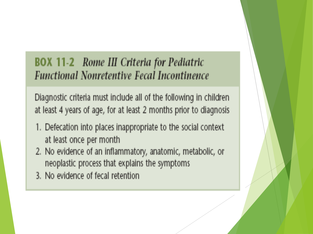#### **BOX 11-2** Rome III Criteria for Pediatric **Functional Nonretentive Fecal Incontinence**

Diagnostic criteria must include all of the following in children at least 4 years of age, for at least 2 months prior to diagnosis

- 1. Defecation into places inappropriate to the social context at least once per month
- 2. No evidence of an inflammatory, anatomic, metabolic, or neoplastic process that explains the symptoms
- 3. No evidence of fecal retention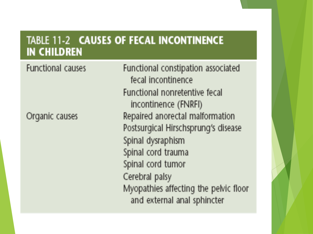#### TABLE 11-2 CAUSES OF FECAL INCONTINENCE **IN CHILDREN**

Organic causes

**Functional causes** 

Functional constipation associated fecal incontinence Functional nonretentive fecal incontinence (FNRFI) Repaired anorectal malformation Postsurgical Hirschsprung's disease Spinal dysraphism Spinal cord trauma Spinal cord tumor Cerebral palsy Myopathies affecting the pelvic floor and external anal sphincter